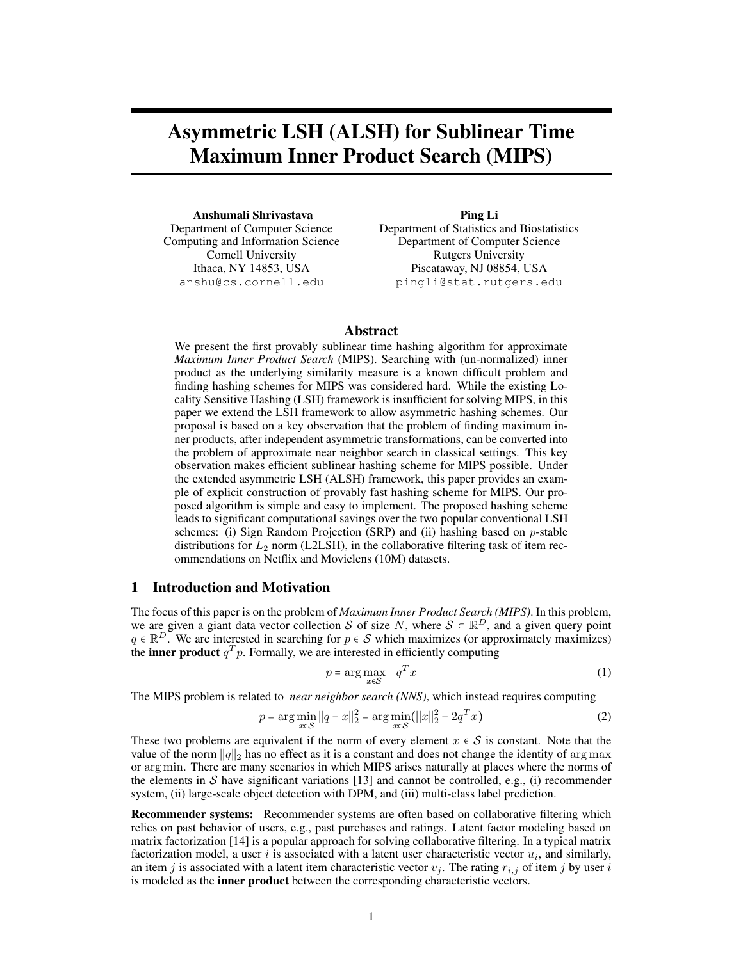# Asymmetric LSH (ALSH) for Sublinear Time Maximum Inner Product Search (MIPS)

Anshumali Shrivastava Department of Computer Science Computing and Information Science Cornell University Ithaca, NY 14853, USA anshu@cs.cornell.edu

Ping Li Department of Statistics and Biostatistics Department of Computer Science Rutgers University Piscataway, NJ 08854, USA pingli@stat.rutgers.edu

#### Abstract

We present the first provably sublinear time hashing algorithm for approximate *Maximum Inner Product Search* (MIPS). Searching with (un-normalized) inner product as the underlying similarity measure is a known difficult problem and finding hashing schemes for MIPS was considered hard. While the existing Locality Sensitive Hashing (LSH) framework is insufficient for solving MIPS, in this paper we extend the LSH framework to allow asymmetric hashing schemes. Our proposal is based on a key observation that the problem of finding maximum inner products, after independent asymmetric transformations, can be converted into the problem of approximate near neighbor search in classical settings. This key observation makes efficient sublinear hashing scheme for MIPS possible. Under the extended asymmetric LSH (ALSH) framework, this paper provides an example of explicit construction of provably fast hashing scheme for MIPS. Our proposed algorithm is simple and easy to implement. The proposed hashing scheme leads to significant computational savings over the two popular conventional LSH schemes: (i) Sign Random Projection (SRP) and (ii) hashing based on p-stable distributions for  $L_2$  norm (L2LSH), in the collaborative filtering task of item recommendations on Netflix and Movielens (10M) datasets.

## 1 Introduction and Motivation

The focus of this paper is on the problem of *Maximum Inner Product Search (MIPS)*. In this problem, we are given a giant data vector collection S of size N, where  $S \subset \mathbb{R}^D$ , and a given query point  $q \in \mathbb{R}^D$ . We are interested in searching for  $p \in S$  which maximizes (or approximately maximizes) the **inner product**  $q^T p$ . Formally, we are interested in efficiently computing

$$
p = \arg\max_{x \in \mathcal{S}} \quad q^T x \tag{1}
$$

The MIPS problem is related to *near neighbor search (NNS)*, which instead requires computing

$$
p = \arg\min_{x \in S} ||q - x||_2^2 = \arg\min_{x \in S} (||x||_2^2 - 2q^T x)
$$
 (2)

These two problems are equivalent if the norm of every element  $x \in S$  is constant. Note that the value of the norm  $||q||_2$  has no effect as it is a constant and does not change the identity of arg max or arg min. There are many scenarios in which MIPS arises naturally at places where the norms of the elements in S have significant variations [13] and cannot be controlled, e.g., (i) recommender system, (ii) large-scale object detection with DPM, and (iii) multi-class label prediction.

Recommender systems: Recommender systems are often based on collaborative filtering which relies on past behavior of users, e.g., past purchases and ratings. Latent factor modeling based on matrix factorization [14] is a popular approach for solving collaborative filtering. In a typical matrix factorization model, a user i is associated with a latent user characteristic vector  $u_i$ , and similarly, an item j is associated with a latent item characteristic vector  $v_j$ . The rating  $r_{i,j}$  of item j by user i is modeled as the **inner product** between the corresponding characteristic vectors.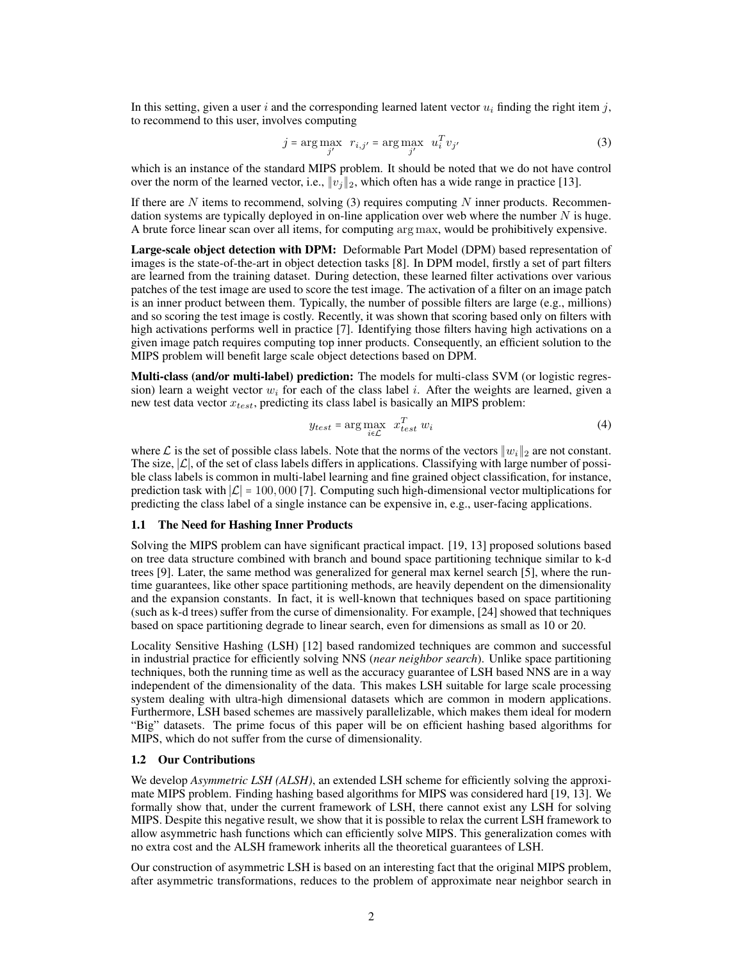In this setting, given a user i and the corresponding learned latent vector  $u_i$  finding the right item j, to recommend to this user, involves computing

$$
j = \arg\max_{j'} r_{i,j'} = \arg\max_{j'} u_i^T v_{j'}
$$
 (3)

which is an instance of the standard MIPS problem. It should be noted that we do not have control over the norm of the learned vector, i.e.,  $||v_i||_2$ , which often has a wide range in practice [13].

If there are  $N$  items to recommend, solving  $(3)$  requires computing  $N$  inner products. Recommendation systems are typically deployed in on-line application over web where the number  $N$  is huge. A brute force linear scan over all items, for computing arg max, would be prohibitively expensive.

Large-scale object detection with DPM: Deformable Part Model (DPM) based representation of images is the state-of-the-art in object detection tasks [8]. In DPM model, firstly a set of part filters are learned from the training dataset. During detection, these learned filter activations over various patches of the test image are used to score the test image. The activation of a filter on an image patch is an inner product between them. Typically, the number of possible filters are large (e.g., millions) and so scoring the test image is costly. Recently, it was shown that scoring based only on filters with high activations performs well in practice [7]. Identifying those filters having high activations on a given image patch requires computing top inner products. Consequently, an efficient solution to the MIPS problem will benefit large scale object detections based on DPM.

Multi-class (and/or multi-label) prediction: The models for multi-class SVM (or logistic regression) learn a weight vector  $w_i$  for each of the class label i. After the weights are learned, given a new test data vector  $x_{test}$ , predicting its class label is basically an MIPS problem:

$$
y_{test} = \arg\max_{i \in \mathcal{L}} \ x_{test}^T \ w_i \tag{4}
$$

where L is the set of possible class labels. Note that the norms of the vectors  $||w_i||_2$  are not constant. The size,  $\mathcal{L}$ , of the set of class labels differs in applications. Classifying with large number of possible class labels is common in multi-label learning and fine grained object classification, for instance, prediction task with  $|\mathcal{L}| = 100,000$  [7]. Computing such high-dimensional vector multiplications for predicting the class label of a single instance can be expensive in, e.g., user-facing applications.

#### 1.1 The Need for Hashing Inner Products

Solving the MIPS problem can have significant practical impact. [19, 13] proposed solutions based on tree data structure combined with branch and bound space partitioning technique similar to k-d trees [9]. Later, the same method was generalized for general max kernel search [5], where the runtime guarantees, like other space partitioning methods, are heavily dependent on the dimensionality and the expansion constants. In fact, it is well-known that techniques based on space partitioning (such as k-d trees) suffer from the curse of dimensionality. For example, [24] showed that techniques based on space partitioning degrade to linear search, even for dimensions as small as 10 or 20.

Locality Sensitive Hashing (LSH) [12] based randomized techniques are common and successful in industrial practice for efficiently solving NNS (*near neighbor search*). Unlike space partitioning techniques, both the running time as well as the accuracy guarantee of LSH based NNS are in a way independent of the dimensionality of the data. This makes LSH suitable for large scale processing system dealing with ultra-high dimensional datasets which are common in modern applications. Furthermore, LSH based schemes are massively parallelizable, which makes them ideal for modern "Big" datasets. The prime focus of this paper will be on efficient hashing based algorithms for MIPS, which do not suffer from the curse of dimensionality.

#### 1.2 Our Contributions

We develop *Asymmetric LSH (ALSH)*, an extended LSH scheme for efficiently solving the approximate MIPS problem. Finding hashing based algorithms for MIPS was considered hard [19, 13]. We formally show that, under the current framework of LSH, there cannot exist any LSH for solving MIPS. Despite this negative result, we show that it is possible to relax the current LSH framework to allow asymmetric hash functions which can efficiently solve MIPS. This generalization comes with no extra cost and the ALSH framework inherits all the theoretical guarantees of LSH.

Our construction of asymmetric LSH is based on an interesting fact that the original MIPS problem, after asymmetric transformations, reduces to the problem of approximate near neighbor search in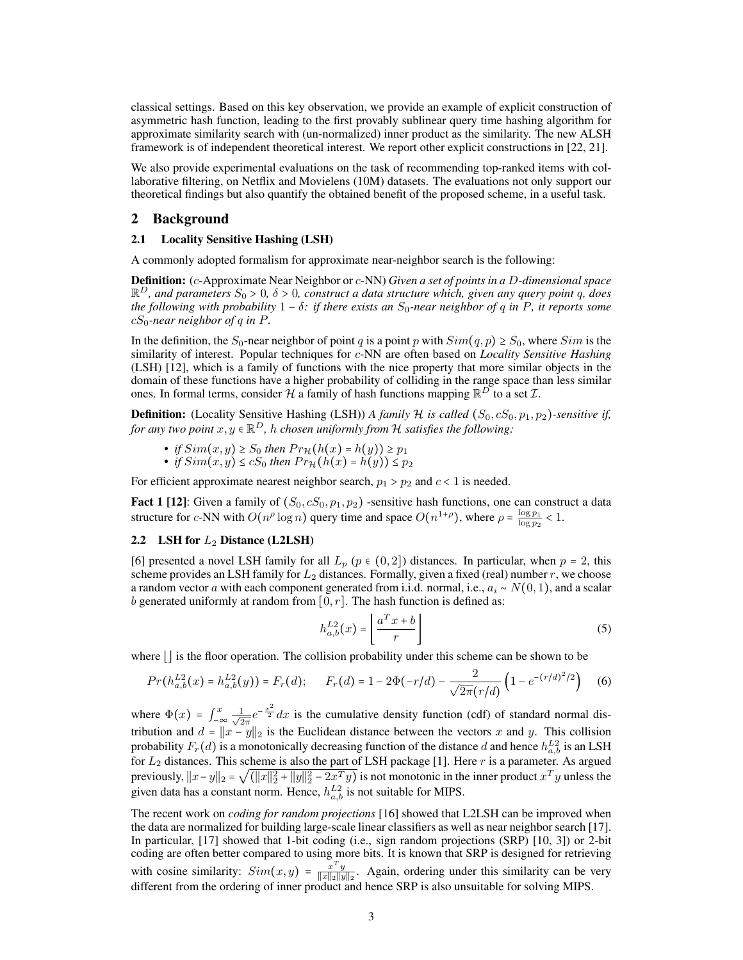classical settings. Based on this key observation, we provide an example of explicit construction of asymmetric hash function, leading to the first provably sublinear query time hashing algorithm for approximate similarity search with (un-normalized) inner product as the similarity. The new ALSH framework is of independent theoretical interest. We report other explicit constructions in [22, 21].

We also provide experimental evaluations on the task of recommending top-ranked items with collaborative filtering, on Netflix and Movielens (10M) datasets. The evaluations not only support our theoretical findings but also quantify the obtained benefit of the proposed scheme, in a useful task.

## 2 Background

#### 2.1 Locality Sensitive Hashing (LSH)

A commonly adopted formalism for approximate near-neighbor search is the following:

Definition: (c-Approximate Near Neighbor or c-NN) *Given a set of points in a* D*-dimensional space*  $\mathbb{R}^D$ , and parameters  $S_0 > 0$ ,  $\delta > 0$ , construct a data structure which, given any query point q, does *the following with probability*  $1 - \delta$ *: if there exists an*  $S_0$ -near neighbor of q in P, it reports some  $cS_0$ -near neighbor of q in P.

In the definition, the  $S_0$ -near neighbor of point q is a point p with  $Sim(q, p) \geq S_0$ , where  $Sim$  is the similarity of interest. Popular techniques for c-NN are often based on *Locality Sensitive Hashing* (LSH) [12], which is a family of functions with the nice property that more similar objects in the domain of these functions have a higher probability of colliding in the range space than less similar ones. In formal terms, consider H a family of hash functions mapping  $\mathbb{R}^D$  to a set *T*.

**Definition:** (Locality Sensitive Hashing (LSH)) *A family*  $H$  *is called*  $(S_0, cS_0, p_1, p_2)$ *-sensitive if, for any two point*  $x, y \in \mathbb{R}^D$ , *h chosen uniformly from*  $\mathcal H$  *satisfies the following:* 

- *if*  $Sim(x, y) \ge S_0$  *then*  $Pr_{\mathcal{H}}(h(x) = h(y)) \ge p_1$
- *if*  $Sim(x, y) \le cS_0$  then  $Pr_{\mathcal{H}}(h(x) = h(y)) \le p_2$

For efficient approximate nearest neighbor search,  $p_1 > p_2$  and  $c < 1$  is needed.

**Fact 1 [12]**: Given a family of  $(S_0, cS_0, p_1, p_2)$  -sensitive hash functions, one can construct a data structure for c-NN with  $O(n^{\rho} \log n)$  query time and space  $O(n^{1+\rho})$ , where  $\rho = \frac{\log p_1}{\log n_0}$  $\frac{\log p_1}{\log p_2} < 1.$ 

#### 2.2 LSH for  $L_2$  Distance (L2LSH)

[6] presented a novel LSH family for all  $L_p$  ( $p \in (0,2]$ ) distances. In particular, when  $p = 2$ , this scheme provides an LSH family for  $L_2$  distances. Formally, given a fixed (real) number r, we choose a random vector a with each component generated from i.i.d. normal, i.e.,  $a_i \sim N(0, 1)$ , and a scalar b generated uniformly at random from  $[0, r]$ . The hash function is defined as:

$$
h_{a,b}^{L2}(x) = \left\lfloor \frac{a^T x + b}{r} \right\rfloor \tag{5}
$$

where  $\frac{1}{1}$  is the floor operation. The collision probability under this scheme can be shown to be

$$
Pr(h_{a,b}^{L2}(x) = h_{a,b}^{L2}(y)) = F_r(d); \qquad F_r(d) = 1 - 2\Phi(-r/d) - \frac{2}{\sqrt{2\pi}(r/d)} \left(1 - e^{-(r/d)^2/2}\right) \tag{6}
$$

where  $\Phi(x) = \int_{-\infty}^{x} \frac{1}{\sqrt{2}}$  $\frac{1}{2\pi}e^{-\frac{x^2}{2}}dx$  is the cumulative density function (cdf) of standard normal distribution and  $d = ||x - y||_2$  is the Euclidean distance between the vectors x and y. This collision probability  $F_r(d)$  is a monotonically decreasing function of the distance d and hence  $h_{a,b}^{L2}$  is an LSH for  $L_2$  distances. This scheme is also the part of LSH package [1]. Here r is a parameter. As argued previously,  $||x-y||_2 = \sqrt{(||x||_2^2 + ||y||_2^2 - 2x^Ty)}$  is not monotonic in the inner product  $x^T y$  unless the given data has a constant norm. Hence,  $h_{a,b}^{L2}$  is not suitable for MIPS.

The recent work on *coding for random projections* [16] showed that L2LSH can be improved when the data are normalized for building large-scale linear classifiers as well as near neighbor search [17]. In particular, [17] showed that 1-bit coding (i.e., sign random projections (SRP) [10, 3]) or 2-bit coding are often better compared to using more bits. It is known that SRP is designed for retrieving with cosine similarity:  $Sim(x, y) = \frac{x^T y}{\|x\| \|y\|_2}$ . Again, ordering under this similarity can be very different from the ordering of inner product and hence SRP is also unsuitable for solving MIPS.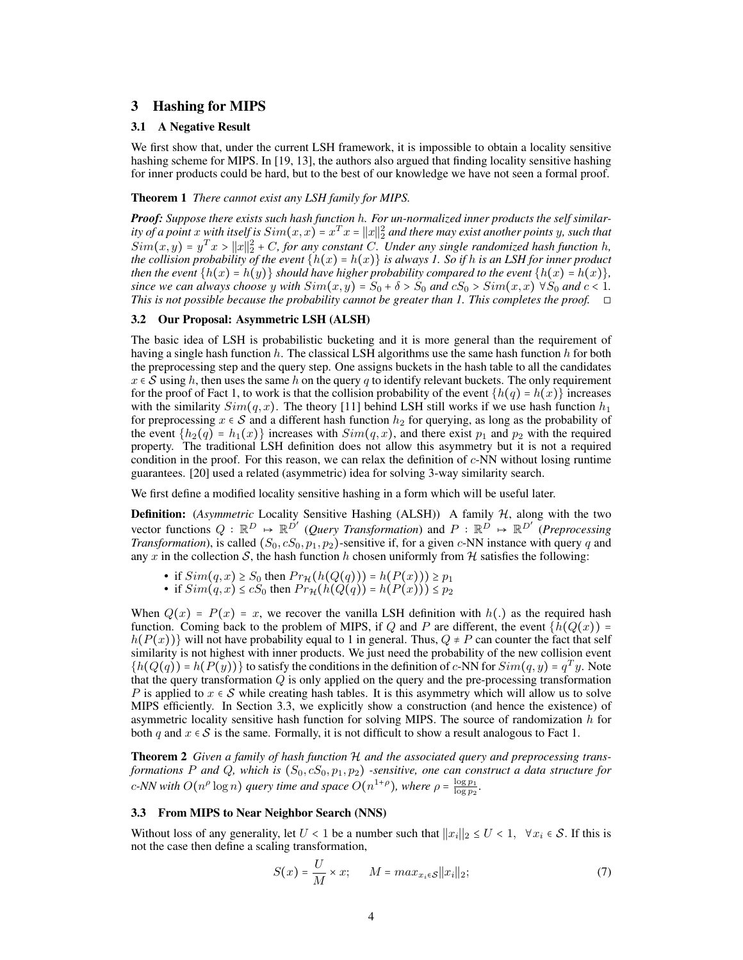# 3 Hashing for MIPS

## 3.1 A Negative Result

We first show that, under the current LSH framework, it is impossible to obtain a locality sensitive hashing scheme for MIPS. In [19, 13], the authors also argued that finding locality sensitive hashing for inner products could be hard, but to the best of our knowledge we have not seen a formal proof.

#### Theorem 1 *There cannot exist any LSH family for MIPS.*

*Proof: Suppose there exists such hash function* h*. For un-normalized inner products the self similar*ity of a point  $x$  with itself is  $Sim(x,x)$  =  $x^Tx$  =  $||x||^2_2$  and there may exist another points  $y$ , such that  $Sim(x, y) = y^T x > ||x||_2^2 + C$ , for any constant C. Under any single randomized hash function h, *the collision probability of the event*  $\{h(x) = h(x)\}$  *is always 1. So if h is an LSH for inner product then the event*  $\{h(x) = h(y)\}$  *should have higher probability compared to the event*  $\{h(x) = h(x)\}$ *, since we can always choose y with*  $Sim(x, y) = S_0 + \delta > S_0$  *and*  $cS_0 > Sim(x, x) \forall S_0$  *and*  $c < 1$ *. This is not possible because the probability cannot be greater than 1. This completes the proof.* ◻

#### 3.2 Our Proposal: Asymmetric LSH (ALSH)

The basic idea of LSH is probabilistic bucketing and it is more general than the requirement of having a single hash function h. The classical LSH algorithms use the same hash function h for both the preprocessing step and the query step. One assigns buckets in the hash table to all the candidates  $x \in S$  using h, then uses the same h on the query q to identify relevant buckets. The only requirement for the proof of Fact 1, to work is that the collision probability of the event  $\{h(q) = h(x)\}\$  increases with the similarity  $Sim(q, x)$ . The theory [11] behind LSH still works if we use hash function  $h_1$ for preprocessing  $x \in S$  and a different hash function  $h_2$  for querying, as long as the probability of the event  $\{h_2(q) = h_1(x)\}\$  increases with  $Sim(q, x)$ , and there exist  $p_1$  and  $p_2$  with the required property. The traditional LSH definition does not allow this asymmetry but it is not a required condition in the proof. For this reason, we can relax the definition of  $c$ -NN without losing runtime guarantees. [20] used a related (asymmetric) idea for solving 3-way similarity search.

We first define a modified locality sensitive hashing in a form which will be useful later.

Definition: (*Asymmetric* Locality Sensitive Hashing (ALSH)) A family H, along with the two vector functions  $Q : \mathbb{R}^D \to \mathbb{R}^{D'}$  (*Query Transformation*) and  $P : \mathbb{R}^D \to \mathbb{R}^{D'}$  (*Preprocessing Transformation*), is called  $(S_0, cS_0, p_1, p_2)$ -sensitive if, for a given c-NN instance with query q and any x in the collection S, the hash function h chosen uniformly from H satisfies the following:

- if  $Sim(q, x) \ge S_0$  then  $Pr_{\mathcal{H}}(h(Q(q))) = h(P(x))) \ge p_1$
- if  $Sim(q, x) \le cS_0$  then  $Pr_{\mathcal{H}}(h(Q(q)) = h(P(x))) \le p_2$

When  $Q(x) = P(x) = x$ , we recover the vanilla LSH definition with  $h(.)$  as the required hash function. Coming back to the problem of MIPS, if Q and P are different, the event  $\{h(Q(x)) =$  $h(P(x))$ } will not have probability equal to 1 in general. Thus,  $Q \neq P$  can counter the fact that self similarity is not highest with inner products. We just need the probability of the new collision event  ${h(Q(q)) = h(P(y))}$  to satisfy the conditions in the definition of c-NN for  $Sim(q, y) = q<sup>T</sup>y$ . Note that the query transformation  $Q$  is only applied on the query and the pre-processing transformation P is applied to  $x \in S$  while creating hash tables. It is this asymmetry which will allow us to solve MIPS efficiently. In Section 3.3, we explicitly show a construction (and hence the existence) of asymmetric locality sensitive hash function for solving MIPS. The source of randomization  $h$  for both q and  $x \in S$  is the same. Formally, it is not difficult to show a result analogous to Fact 1.

Theorem 2 *Given a family of hash function* H *and the associated query and preprocessing transformations* P and Q, which is  $(S_0, cS_0, p_1, p_2)$  *-sensitive, one can construct a data structure for* c-NN with  $O(n^{\rho} \log n)$  *query time and space*  $O(n^{1+\rho})$ *, where*  $\rho = \frac{\log p_1}{\log p_0}$  $\frac{\log p_1}{\log p_2}$ .

#### 3.3 From MIPS to Near Neighbor Search (NNS)

Without loss of any generality, let  $U < 1$  be a number such that  $||x_i||_2 \le U < 1$ ,  $\forall x_i \in S$ . If this is not the case then define a scaling transformation,

$$
S(x) = \frac{U}{M} \times x; \qquad M = \max_{x_i \in S} ||x_i||_2; \tag{7}
$$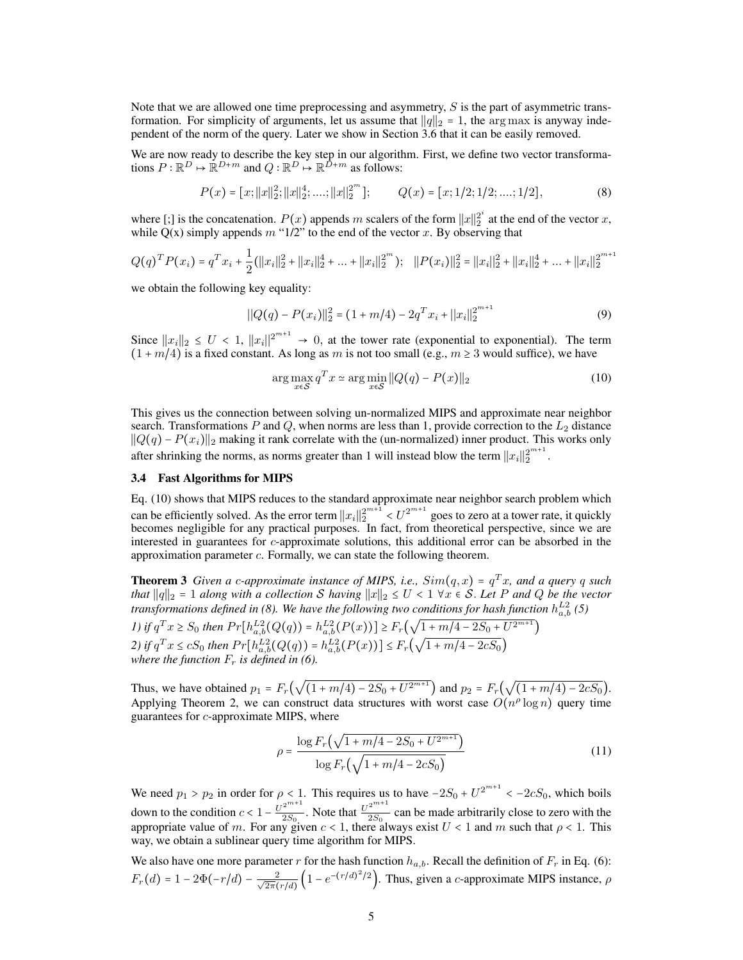Note that we are allowed one time preprocessing and asymmetry,  $S$  is the part of asymmetric transformation. For simplicity of arguments, let us assume that  $||q||_2 = 1$ , the arg max is anyway independent of the norm of the query. Later we show in Section 3.6 that it can be easily removed.

We are now ready to describe the key step in our algorithm. First, we define two vector transformations  $P : \mathbb{R}^D \mapsto \mathbb{R}^{D+m}$  and  $Q : \mathbb{R}^D \mapsto \mathbb{R}^{\tilde{D}+m}$  as follows:

$$
P(x) = [x; ||x||_2^2; ||x||_2^4; \dots; ||x||_2^{2^m}]; \qquad Q(x) = [x; 1/2; 1/2; \dots; 1/2], \tag{8}
$$

where [;] is the concatenation.  $P(x)$  appends m scalers of the form  $||x||_2^{2^i}$  at the end of the vector x, while  $Q(x)$  simply appends m "1/2" to the end of the vector x. By observing that

$$
Q(q)^{T} P(x_{i}) = q^{T} x_{i} + \frac{1}{2} (||x_{i}||_{2}^{2} + ||x_{i}||_{2}^{4} + ... + ||x_{i}||_{2}^{2^{m}}); \quad ||P(x_{i})||_{2}^{2} = ||x_{i}||_{2}^{2} + ||x_{i}||_{2}^{4} + ... + ||x_{i}||_{2}^{2^{m+1}}
$$

we obtain the following key equality:

$$
||Q(q) - P(x_i)||_2^2 = (1 + m/4) - 2q^T x_i + ||x_i||_2^{2^{m+1}}
$$
\n(9)

Since  $||x_i||_2 \le U < 1$ ,  $||x_i||^{2^{m+1}} \to 0$ , at the tower rate (exponential to exponential). The term  $(1 + m/4)$  is a fixed constant. As long as m is not too small (e.g.,  $m \geq 3$  would suffice), we have

$$
\arg\max_{x \in \mathcal{S}} q^T x \simeq \arg\min_{x \in \mathcal{S}} ||Q(q) - P(x)||_2 \tag{10}
$$

This gives us the connection between solving un-normalized MIPS and approximate near neighbor search. Transformations  $P$  and  $Q$ , when norms are less than 1, provide correction to the  $L_2$  distance  $\|Q(q) - P(x_i)\|_2$  making it rank correlate with the (un-normalized) inner product. This works only after shrinking the norms, as norms greater than 1 will instead blow the term  $||x_i||_2^{2^{m+1}}$ .

#### 3.4 Fast Algorithms for MIPS

Eq. (10) shows that MIPS reduces to the standard approximate near neighbor search problem which can be efficiently solved. As the error term  $||x_i||_2^{2^{m+1}} < U^{2^{m+1}}$  goes to zero at a tower rate, it quickly becomes negligible for any practical purposes. In fact, from theoretical perspective, since we are interested in guarantees for c-approximate solutions, this additional error can be absorbed in the approximation parameter c. Formally, we can state the following theorem.

**Theorem 3** Given a c-approximate instance of MIPS, i.e.,  $Sim(q, x) = q^T x$ , and a query q such *that*  $||q||_2 = 1$  *along with a collection* S *having*  $||x||_2 \le U < 1 \ \forall x \in S$ . Let P and Q be the vector *transformations defined in (8). We have the following two conditions for hash function*  $h_{a,b}^{L2}$  (5)

1) if 
$$
q^T x \ge S_0
$$
 then  $Pr[h_{a,b}^{L_2}(Q(q)) = h_{a,b}^{L_2}(P(x))] \ge F_r(\sqrt{1+m/4-2S_0+U^{2^{m+1}}})$   
\n2) if  $q^T x \le cS_0$  then  $Pr[h_{a,b}^{L_2}(Q(q)) = h_{a,b}^{L_2}(P(x))] \le F_r(\sqrt{1+m/4-2cS_0})$   
\nwhere the function  $F_r$  is defined in (6).

Thus, we have obtained  $p_1 = F_r$  (  $\sqrt{(1+m/4)-2S_0+U^{2^{m+1}}}\right)$  and  $p_2 = F_r(x)$ √  $(1 + m/4) - 2cS_0$ . Applying Theorem 2, we can construct data structures with worst case  $O(n^{\rho} \log n)$  query time guarantees for  $c$ -approximate MIPS, where

$$
\rho = \frac{\log F_r\left(\sqrt{1 + m/4 - 2S_0 + U^{2^{m+1}}}\right)}{\log F_r\left(\sqrt{1 + m/4 - 2cS_0}\right)}\tag{11}
$$

We need  $p_1 > p_2$  in order for  $\rho < 1$ . This requires us to have  $-2S_0 + U^{2^{m+1}} < -2cS_0$ , which boils down to the condition  $c < 1 - \frac{U^{2^{m+1}}}{2S_0}$  $\frac{2^{m+1}}{2S_0}$ . Note that  $\frac{U^{2^{m+1}}}{2S_0}$  $\frac{2}{2S_0}$  can be made arbitrarily close to zero with the appropriate value of m. For any given  $c < 1$ , there always exist  $U < 1$  and m such that  $\rho < 1$ . This way, we obtain a sublinear query time algorithm for MIPS.

We also have one more parameter r for the hash function  $h_{a,b}$ . Recall the definition of  $F_r$  in Eq. (6):  $F_r(d) = 1 - 2\Phi(-r/d) - \frac{2}{\sqrt{2\pi}d}$  $\frac{2}{2\pi(r/d)}\left(1-e^{-(r/d)^2/2}\right)$ . Thus, given a c-approximate MIPS instance,  $\rho$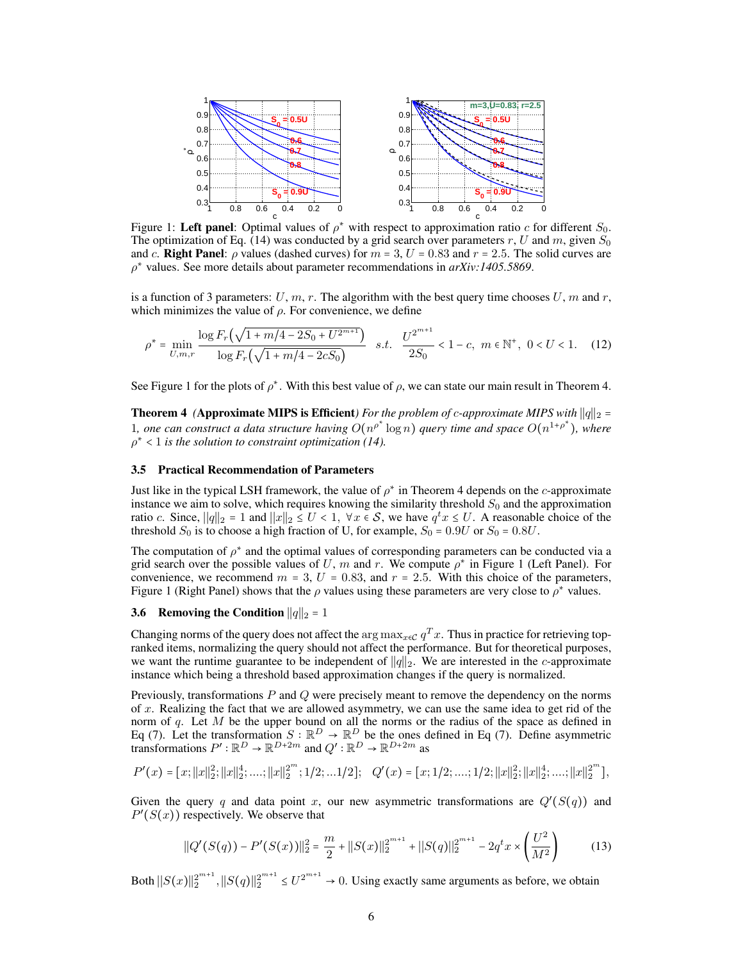

Figure 1: Left panel: Optimal values of  $\rho^*$  with respect to approximation ratio c for different  $S_0$ . The optimization of Eq. (14) was conducted by a grid search over parameters r, U and m, given  $S_0$ and c. Right Panel:  $\rho$  values (dashed curves) for  $m = 3$ ,  $U = 0.83$  and  $r = 2.5$ . The solid curves are ρ ∗ values. See more details about parameter recommendations in *arXiv:1405.5869*.

is a function of 3 parameters: U, m, r. The algorithm with the best query time chooses U, m and r, which minimizes the value of  $\rho$ . For convenience, we define

$$
\rho^* = \min_{U, m, r} \frac{\log F_r \left( \sqrt{1 + m/4 - 2S_0 + U^{2^{m+1}}} \right)}{\log F_r \left( \sqrt{1 + m/4 - 2cS_0} \right)} \quad s.t. \quad \frac{U^{2^{m+1}}}{2S_0} < 1 - c, \ m \in \mathbb{N}^+, \ 0 < U < 1. \tag{12}
$$

See Figure 1 for the plots of  $\rho^*$ . With this best value of  $\rho$ , we can state our main result in Theorem 4.

**Theorem 4** *(Approximate MIPS is Efficient) For the problem of c-approximate MIPS with*  $||q||_2 =$ 1, one can construct a data structure having  $O(n^{\rho^*} \log n)$  query time and space  $O(n^{1+\rho^*})$ , where  $\rho^*$  < 1 *is the solution to constraint optimization (14).* 

#### 3.5 Practical Recommendation of Parameters

Just like in the typical LSH framework, the value of  $\rho^*$  in Theorem 4 depends on the *c*-approximate instance we aim to solve, which requires knowing the similarity threshold  $S_0$  and the approximation ratio c. Since,  $||q||_2 = 1$  and  $||x||_2 \le U < 1$ ,  $\forall x \in S$ , we have  $q^t x \le U$ . A reasonable choice of the threshold  $S_0$  is to choose a high fraction of U, for example,  $S_0 = 0.9U$  or  $S_0 = 0.8U$ .

The computation of  $\rho^*$  and the optimal values of corresponding parameters can be conducted via a grid search over the possible values of U, m and r. We compute  $\rho^*$  in Figure 1 (Left Panel). For convenience, we recommend  $m = 3$ ,  $U = 0.83$ , and  $r = 2.5$ . With this choice of the parameters, Figure 1 (Right Panel) shows that the  $\rho$  values using these parameters are very close to  $\rho^*$  values.

#### 3.6 Removing the Condition  $||q||_2 = 1$

Changing norms of the query does not affect the  $\arg \max_{x \in \mathcal{C}} q^T x$ . Thus in practice for retrieving topranked items, normalizing the query should not affect the performance. But for theoretical purposes, we want the runtime guarantee to be independent of  $||q||_2$ . We are interested in the c-approximate instance which being a threshold based approximation changes if the query is normalized.

Previously, transformations  $P$  and  $Q$  were precisely meant to remove the dependency on the norms of  $x$ . Realizing the fact that we are allowed asymmetry, we can use the same idea to get rid of the norm of q. Let M be the upper bound on all the norms or the radius of the space as defined in Eq (7). Let the transformation  $S : \mathbb{R}^D \to \mathbb{R}^D$  be the ones defined in Eq (7). Define asymmetric transformations  $P': \mathbb{R}^D \to \mathbb{R}^{D+2m}$  and  $Q': \mathbb{R}^D \to \mathbb{R}^{D+2m}$  as

$$
P'(x)=[x;||x||_2^2;||x||_2^4;....;||x||_2^{2^m};1/2;...1/2]; \quad Q'(x)=[x;1/2;....;1/2;||x||_2^2;||x||_2^4;....;||x||_2^{2^m}],
$$

Given the query q and data point x, our new asymmetric transformations are  $Q'(S(q))$  and  $P'(S(x))$  respectively. We observe that

$$
||Q'(S(q)) - P'(S(x))||_2^2 = \frac{m}{2} + ||S(x)||_2^{2^{m+1}} + ||S(q)||_2^{2^{m+1}} - 2q^t x \times \left(\frac{U^2}{M^2}\right)
$$
(13)

Both  $||S(x)||_2^{2^{m+1}}$ ,  $||S(q)||_2^{2^{m+1}} \le U^{2^{m+1}} \to 0$ . Using exactly same arguments as before, we obtain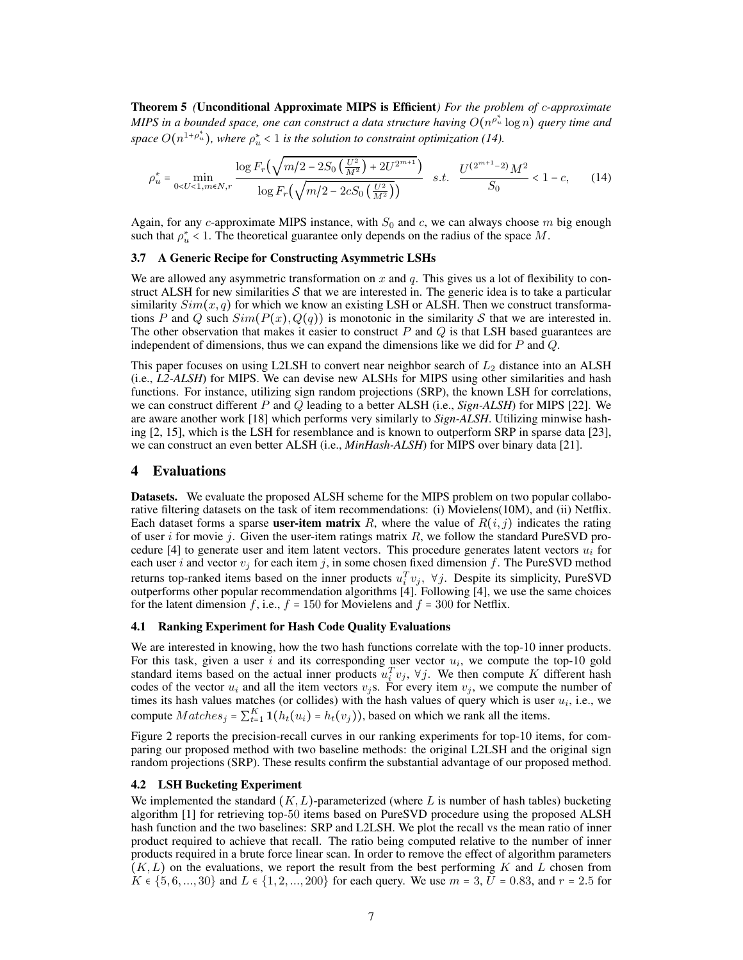Theorem 5 *(*Unconditional Approximate MIPS is Efficient*) For the problem of* c*-approximate MIPS in a bounded space, one can construct a data structure having*  $O(n^{\rho^*_{u}} \log n)$  *query time and* space  $O(n^{1+\rho_u^*})$ , where  $\rho_u^* < 1$  is the solution to constraint optimization (14).

$$
\rho_u^* = \min_{0 < U < 1, m \in N, r} \frac{\log F_r\left(\sqrt{m/2 - 2S_0\left(\frac{U^2}{M^2}\right) + 2U^{2^{m+1}}}\right)}{\log F_r\left(\sqrt{m/2 - 2cS_0\left(\frac{U^2}{M^2}\right)}\right)} \quad s.t. \quad \frac{U^{(2^{m+1}-2)}M^2}{S_0} < 1 - c,\tag{14}
$$

Again, for any c-approximate MIPS instance, with  $S_0$  and c, we can always choose m big enough such that  $\rho_u^*$  < 1. The theoretical guarantee only depends on the radius of the space M.

#### 3.7 A Generic Recipe for Constructing Asymmetric LSHs

We are allowed any asymmetric transformation on  $x$  and  $q$ . This gives us a lot of flexibility to construct ALSH for new similarities  $S$  that we are interested in. The generic idea is to take a particular similarity  $Sim(x, q)$  for which we know an existing LSH or ALSH. Then we construct transformations P and Q such  $Sim(P(x), Q(q))$  is monotonic in the similarity S that we are interested in. The other observation that makes it easier to construct  $P$  and  $Q$  is that LSH based guarantees are independent of dimensions, thus we can expand the dimensions like we did for  $P$  and  $Q$ .

This paper focuses on using L2LSH to convert near neighbor search of  $L_2$  distance into an ALSH (i.e., *L2-ALSH*) for MIPS. We can devise new ALSHs for MIPS using other similarities and hash functions. For instance, utilizing sign random projections (SRP), the known LSH for correlations, we can construct different P and Q leading to a better ALSH (i.e., *Sign-ALSH*) for MIPS [22]. We are aware another work [18] which performs very similarly to *Sign-ALSH*. Utilizing minwise hashing [2, 15], which is the LSH for resemblance and is known to outperform SRP in sparse data [23], we can construct an even better ALSH (i.e., *MinHash-ALSH*) for MIPS over binary data [21].

#### 4 Evaluations

Datasets. We evaluate the proposed ALSH scheme for the MIPS problem on two popular collaborative filtering datasets on the task of item recommendations: (i) Movielens(10M), and (ii) Netflix. Each dataset forms a sparse user-item matrix R, where the value of  $R(i, j)$  indicates the rating of user i for movie j. Given the user-item ratings matrix  $R$ , we follow the standard PureSVD procedure [4] to generate user and item latent vectors. This procedure generates latent vectors  $u_i$  for each user i and vector  $v_j$  for each item j, in some chosen fixed dimension f. The PureSVD method returns top-ranked items based on the inner products  $u_i^T v_j$ ,  $\forall j$ . Despite its simplicity, PureSVD outperforms other popular recommendation algorithms [4]. Following [4], we use the same choices for the latent dimension f, i.e.,  $f = 150$  for Movielens and  $f = 300$  for Netflix.

#### 4.1 Ranking Experiment for Hash Code Quality Evaluations

We are interested in knowing, how the two hash functions correlate with the top-10 inner products. For this task, given a user i and its corresponding user vector  $u_i$ , we compute the top-10 gold standard items based on the actual inner products  $u_i^T v_j$ ,  $\forall j$ . We then compute K different hash codes of the vector  $u_i$  and all the item vectors  $v_j$ s. For every item  $v_j$ , we compute the number of times its hash values matches (or collides) with the hash values of query which is user  $u_i$ , i.e., we compute  $Matches_j = \sum_{t=1}^{K} \mathbf{1}(h_t(u_i) = h_t(v_j))$ , based on which we rank all the items.

Figure 2 reports the precision-recall curves in our ranking experiments for top-10 items, for comparing our proposed method with two baseline methods: the original L2LSH and the original sign random projections (SRP). These results confirm the substantial advantage of our proposed method.

#### 4.2 LSH Bucketing Experiment

We implemented the standard  $(K, L)$ -parameterized (where L is number of hash tables) bucketing algorithm [1] for retrieving top-50 items based on PureSVD procedure using the proposed ALSH hash function and the two baselines: SRP and L2LSH. We plot the recall vs the mean ratio of inner product required to achieve that recall. The ratio being computed relative to the number of inner products required in a brute force linear scan. In order to remove the effect of algorithm parameters  $(K, L)$  on the evaluations, we report the result from the best performing K and L chosen from  $K \in \{5, 6, ..., 30\}$  and  $L \in \{1, 2, ..., 200\}$  for each query. We use  $m = 3$ ,  $\bar{U} = 0.83$ , and  $r = 2.5$  for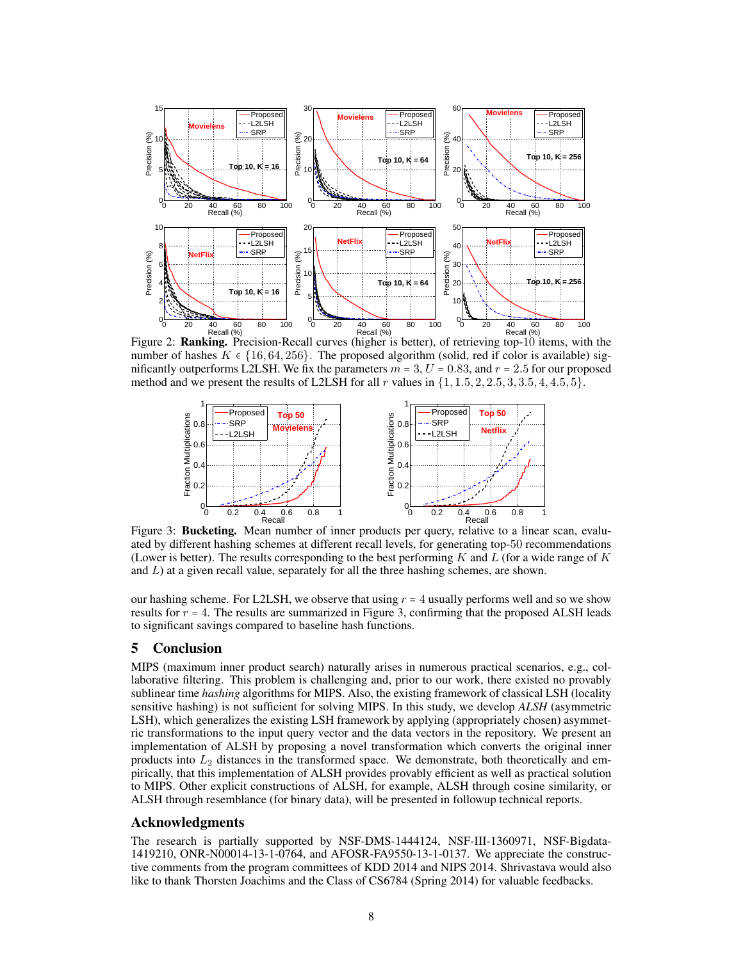

Figure 2: **Ranking.** Precision-Recall curves (higher is better), of retrieving top-10 items, with the number of hashes  $K \in \{16, 64, 256\}$ . The proposed algorithm (solid, red if color is available) significantly outperforms L2LSH. We fix the parameters  $m = 3$ ,  $U = 0.83$ , and  $r = 2.5$  for our proposed method and we present the results of L2LSH for all r values in  $\{1, 1.5, 2, 2.5, 3, 3.5, 4, 4.5, 5\}$ .



Figure 3: **Bucketing.** Mean number of inner products per query, relative to a linear scan, evaluated by different hashing schemes at different recall levels, for generating top-50 recommendations (Lower is better). The results corresponding to the best performing  $K$  and  $L$  (for a wide range of  $K$ and  $L$ ) at a given recall value, separately for all the three hashing schemes, are shown.

our hashing scheme. For L2LSH, we observe that using  $r = 4$  usually performs well and so we show results for  $r = 4$ . The results are summarized in Figure 3, confirming that the proposed ALSH leads to significant savings compared to baseline hash functions.

# 5 Conclusion

MIPS (maximum inner product search) naturally arises in numerous practical scenarios, e.g., collaborative filtering. This problem is challenging and, prior to our work, there existed no provably sublinear time *hashing* algorithms for MIPS. Also, the existing framework of classical LSH (locality sensitive hashing) is not sufficient for solving MIPS. In this study, we develop *ALSH* (asymmetric LSH), which generalizes the existing LSH framework by applying (appropriately chosen) asymmetric transformations to the input query vector and the data vectors in the repository. We present an implementation of ALSH by proposing a novel transformation which converts the original inner products into  $L_2$  distances in the transformed space. We demonstrate, both theoretically and empirically, that this implementation of ALSH provides provably efficient as well as practical solution to MIPS. Other explicit constructions of ALSH, for example, ALSH through cosine similarity, or ALSH through resemblance (for binary data), will be presented in followup technical reports.

# Acknowledgments

The research is partially supported by NSF-DMS-1444124, NSF-III-1360971, NSF-Bigdata-1419210, ONR-N00014-13-1-0764, and AFOSR-FA9550-13-1-0137. We appreciate the constructive comments from the program committees of KDD 2014 and NIPS 2014. Shrivastava would also like to thank Thorsten Joachims and the Class of CS6784 (Spring 2014) for valuable feedbacks.